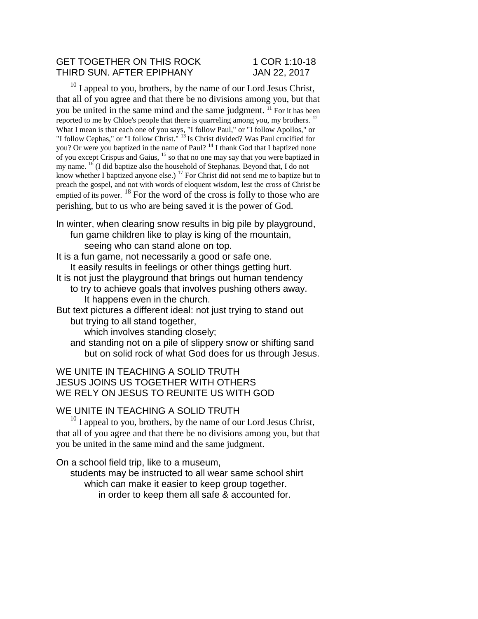## GET TOGETHER ON THIS ROCK 1 COR 1:10-18 THIRD SUN. AFTER EPIPHANY JAN 22, 2017

 $10$  I appeal to you, brothers, by the name of our Lord Jesus Christ, that all of you agree and that there be no divisions among you, but that you be united in the same mind and the same judgment. <sup>11</sup> For it has been reported to me by Chloe's people that there is quarreling among you, my brothers. <sup>12</sup> What I mean is that each one of you says, "I follow Paul," or "I follow Apollos," or "I follow Cephas," or "I follow Christ."<sup>13</sup> Is Christ divided? Was Paul crucified for you? Or were you baptized in the name of Paul? <sup>14</sup> I thank God that I baptized none of you except Crispus and Gaius, <sup>15</sup> so that no one may say that you were baptized in my name.  $16$  (I did baptize also the household of Stephanas. Beyond that, I do not know whether I baptized anyone else.)  $17$  For Christ did not send me to baptize but to preach the gospel, and not with words of eloquent wisdom, lest the cross of Christ be emptied of its power.  $^{18}$  For the word of the cross is folly to those who are perishing, but to us who are being saved it is the power of God.

In winter, when clearing snow results in big pile by playground, fun game children like to play is king of the mountain, seeing who can stand alone on top.

It is a fun game, not necessarily a good or safe one. It easily results in feelings or other things getting hurt.

It is not just the playground that brings out human tendency

to try to achieve goals that involves pushing others away. It happens even in the church.

But text pictures a different ideal: not just trying to stand out but trying to all stand together,

which involves standing closely;

and standing not on a pile of slippery snow or shifting sand but on solid rock of what God does for us through Jesus.

WE UNITE IN TEACHING A SOLID TRUTH JESUS JOINS US TOGETHER WITH OTHERS WE RELY ON JESUS TO REUNITE US WITH GOD

WE UNITE IN TEACHING A SOLID TRUTH

 $^{10}$  I appeal to you, brothers, by the name of our Lord Jesus Christ, that all of you agree and that there be no divisions among you, but that you be united in the same mind and the same judgment.

On a school field trip, like to a museum,

students may be instructed to all wear same school shirt which can make it easier to keep group together. in order to keep them all safe & accounted for.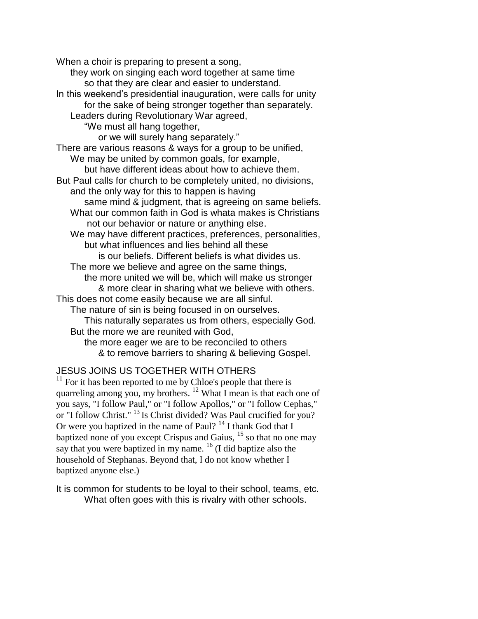When a choir is preparing to present a song, they work on singing each word together at same time so that they are clear and easier to understand. In this weekend's presidential inauguration, were calls for unity for the sake of being stronger together than separately. Leaders during Revolutionary War agreed, "We must all hang together, or we will surely hang separately." There are various reasons & ways for a group to be unified, We may be united by common goals, for example, but have different ideas about how to achieve them. But Paul calls for church to be completely united, no divisions, and the only way for this to happen is having same mind & judgment, that is agreeing on same beliefs. What our common faith in God is whata makes is Christians not our behavior or nature or anything else. We may have different practices, preferences, personalities, but what influences and lies behind all these is our beliefs. Different beliefs is what divides us. The more we believe and agree on the same things, the more united we will be, which will make us stronger & more clear in sharing what we believe with others. This does not come easily because we are all sinful. The nature of sin is being focused in on ourselves. This naturally separates us from others, especially God. But the more we are reunited with God, the more eager we are to be reconciled to others & to remove barriers to sharing & believing Gospel.

## JESUS JOINS US TOGETHER WITH OTHERS

 $11$  For it has been reported to me by Chloe's people that there is quarreling among you, my brothers.  $12$  What I mean is that each one of you says, "I follow Paul," or "I follow Apollos," or "I follow Cephas," or "I follow Christ." <sup>13</sup> Is Christ divided? Was Paul crucified for you? Or were you baptized in the name of Paul? <sup>14</sup> I thank God that I baptized none of you except Crispus and Gaius, <sup>15</sup> so that no one may say that you were baptized in my name. <sup>16</sup> (I did baptize also the household of Stephanas. Beyond that, I do not know whether I baptized anyone else.)

It is common for students to be loyal to their school, teams, etc. What often goes with this is rivalry with other schools.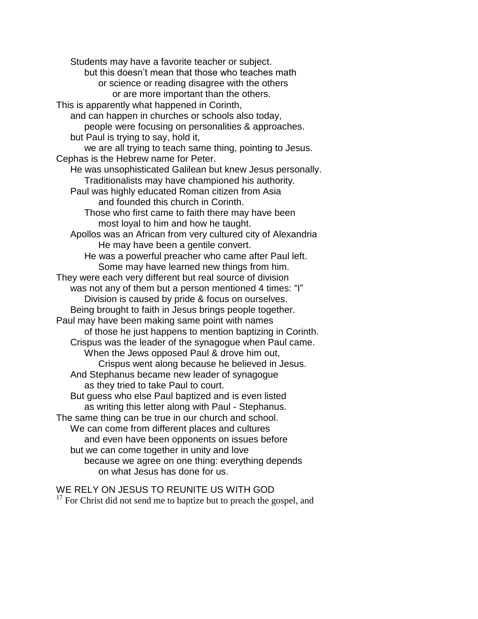Students may have a favorite teacher or subject. but this doesn't mean that those who teaches math or science or reading disagree with the others or are more important than the others. This is apparently what happened in Corinth, and can happen in churches or schools also today, people were focusing on personalities & approaches. but Paul is trying to say, hold it, we are all trying to teach same thing, pointing to Jesus. Cephas is the Hebrew name for Peter. He was unsophisticated Galilean but knew Jesus personally. Traditionalists may have championed his authority. Paul was highly educated Roman citizen from Asia and founded this church in Corinth. Those who first came to faith there may have been most loyal to him and how he taught. Apollos was an African from very cultured city of Alexandria He may have been a gentile convert. He was a powerful preacher who came after Paul left. Some may have learned new things from him. They were each very different but real source of division was not any of them but a person mentioned 4 times: "I" Division is caused by pride & focus on ourselves. Being brought to faith in Jesus brings people together. Paul may have been making same point with names of those he just happens to mention baptizing in Corinth. Crispus was the leader of the synagogue when Paul came. When the Jews opposed Paul & drove him out, Crispus went along because he believed in Jesus. And Stephanus became new leader of synagogue as they tried to take Paul to court. But guess who else Paul baptized and is even listed as writing this letter along with Paul - Stephanus. The same thing can be true in our church and school. We can come from different places and cultures and even have been opponents on issues before but we can come together in unity and love because we agree on one thing: everything depends on what Jesus has done for us.

WE RELY ON JESUS TO REUNITE US WITH GOD  $17$  For Christ did not send me to baptize but to preach the gospel, and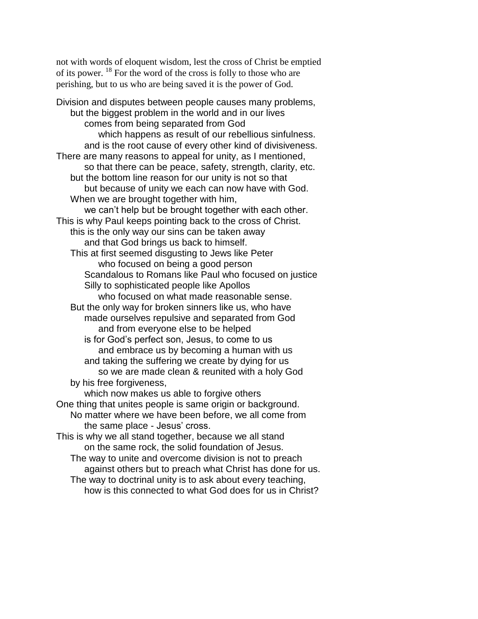not with words of eloquent wisdom, lest the cross of Christ be emptied of its power. <sup>18</sup> For the word of the cross is folly to those who are perishing, but to us who are being saved it is the power of God.

Division and disputes between people causes many problems, but the biggest problem in the world and in our lives comes from being separated from God which happens as result of our rebellious sinfulness. and is the root cause of every other kind of divisiveness. There are many reasons to appeal for unity, as I mentioned, so that there can be peace, safety, strength, clarity, etc. but the bottom line reason for our unity is not so that but because of unity we each can now have with God. When we are brought together with him, we can't help but be brought together with each other. This is why Paul keeps pointing back to the cross of Christ. this is the only way our sins can be taken away and that God brings us back to himself. This at first seemed disgusting to Jews like Peter who focused on being a good person Scandalous to Romans like Paul who focused on justice Silly to sophisticated people like Apollos who focused on what made reasonable sense. But the only way for broken sinners like us, who have made ourselves repulsive and separated from God and from everyone else to be helped is for God's perfect son, Jesus, to come to us and embrace us by becoming a human with us and taking the suffering we create by dying for us so we are made clean & reunited with a holy God by his free forgiveness, which now makes us able to forgive others One thing that unites people is same origin or background. No matter where we have been before, we all come from the same place - Jesus' cross. This is why we all stand together, because we all stand on the same rock, the solid foundation of Jesus. The way to unite and overcome division is not to preach against others but to preach what Christ has done for us. The way to doctrinal unity is to ask about every teaching,

how is this connected to what God does for us in Christ?